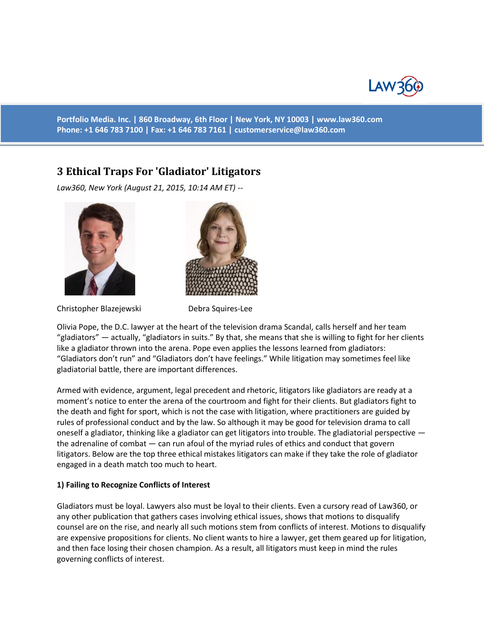

**Portfolio Media. Inc. | 860 Broadway, 6th Floor | New York, NY 10003 | www.law360.com Phone: +1 646 783 7100 | Fax: +1 646 783 7161 | [customerservice@law360.com](mailto:customerservice@law360.com)**

## **3 Ethical Traps For 'Gladiator' Litigators**

*Law360, New York (August 21, 2015, 10:14 AM ET) --*



Christopher Blazejewski Debra Squires-Lee



Olivia Pope, the D.C. lawyer at the heart of the television drama Scandal, calls herself and her team "gladiators" — actually, "gladiators in suits." By that, she means that she is willing to fight for her clients like a gladiator thrown into the arena. Pope even applies the lessons learned from gladiators: "Gladiators don't run" and "Gladiators don't have feelings." While litigation may sometimes feel like gladiatorial battle, there are important differences.

Armed with evidence, argument, legal precedent and rhetoric, litigators like gladiators are ready at a moment's notice to enter the arena of the courtroom and fight for their clients. But gladiators fight to the death and fight for sport, which is not the case with litigation, where practitioners are guided by rules of professional conduct and by the law. So although it may be good for television drama to call oneself a gladiator, thinking like a gladiator can get litigators into trouble. The gladiatorial perspective the adrenaline of combat — can run afoul of the myriad rules of ethics and conduct that govern litigators. Below are the top three ethical mistakes litigators can make if they take the role of gladiator engaged in a death match too much to heart.

## **1) Failing to Recognize Conflicts of Interest**

Gladiators must be loyal. Lawyers also must be loyal to their clients. Even a cursory read of Law360, or any other publication that gathers cases involving ethical issues, shows that motions to disqualify counsel are on the rise, and nearly all such motions stem from conflicts of interest. Motions to disqualify are expensive propositions for clients. No client wants to hire a lawyer, get them geared up for litigation, and then face losing their chosen champion. As a result, all litigators must keep in mind the rules governing conflicts of interest.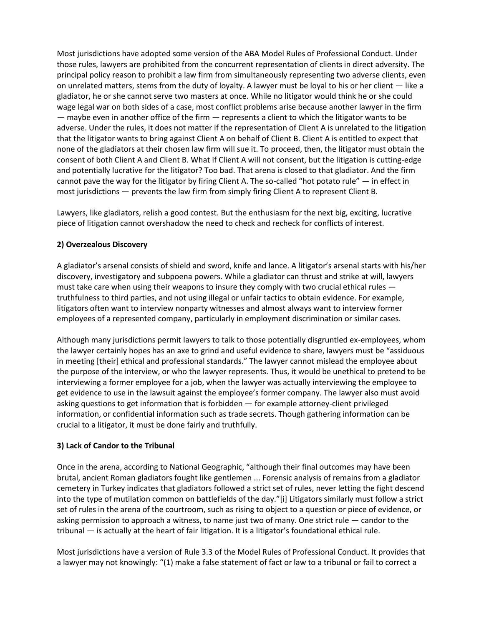Most jurisdictions have adopted some version of the ABA Model Rules of Professional Conduct. Under those rules, lawyers are prohibited from the concurrent representation of clients in direct adversity. The principal policy reason to prohibit a law firm from simultaneously representing two adverse clients, even on unrelated matters, stems from the duty of loyalty. A lawyer must be loyal to his or her client — like a gladiator, he or she cannot serve two masters at once. While no litigator would think he or she could wage legal war on both sides of a case, most conflict problems arise because another lawyer in the firm — maybe even in another office of the firm — represents a client to which the litigator wants to be adverse. Under the rules, it does not matter if the representation of Client A is unrelated to the litigation that the litigator wants to bring against Client A on behalf of Client B. Client A is entitled to expect that none of the gladiators at their chosen law firm will sue it. To proceed, then, the litigator must obtain the consent of both Client A and Client B. What if Client A will not consent, but the litigation is cutting-edge and potentially lucrative for the litigator? Too bad. That arena is closed to that gladiator. And the firm cannot pave the way for the litigator by firing Client A. The so-called "hot potato rule" — in effect in most jurisdictions — prevents the law firm from simply firing Client A to represent Client B.

Lawyers, like gladiators, relish a good contest. But the enthusiasm for the next big, exciting, lucrative piece of litigation cannot overshadow the need to check and recheck for conflicts of interest.

## **2) Overzealous Discovery**

A gladiator's arsenal consists of shield and sword, knife and lance. A litigator's arsenal starts with his/her discovery, investigatory and subpoena powers. While a gladiator can thrust and strike at will, lawyers must take care when using their weapons to insure they comply with two crucial ethical rules truthfulness to third parties, and not using illegal or unfair tactics to obtain evidence. For example, litigators often want to interview nonparty witnesses and almost always want to interview former employees of a represented company, particularly in employment discrimination or similar cases.

Although many jurisdictions permit lawyers to talk to those potentially disgruntled ex-employees, whom the lawyer certainly hopes has an axe to grind and useful evidence to share, lawyers must be "assiduous in meeting [their] ethical and professional standards." The lawyer cannot mislead the employee about the purpose of the interview, or who the lawyer represents. Thus, it would be unethical to pretend to be interviewing a former employee for a job, when the lawyer was actually interviewing the employee to get evidence to use in the lawsuit against the employee's former company. The lawyer also must avoid asking questions to get information that is forbidden — for example attorney-client privileged information, or confidential information such as trade secrets. Though gathering information can be crucial to a litigator, it must be done fairly and truthfully.

## **3) Lack of Candor to the Tribunal**

Once in the arena, according to National Geographic, "although their final outcomes may have been brutal, ancient Roman gladiators fought like gentlemen ... Forensic analysis of remains from a gladiator cemetery in Turkey indicates that gladiators followed a strict set of rules, never letting the fight descend into the type of mutilation common on battlefields of the day."[i] Litigators similarly must follow a strict set of rules in the arena of the courtroom, such as rising to object to a question or piece of evidence, or asking permission to approach a witness, to name just two of many. One strict rule — candor to the tribunal — is actually at the heart of fair litigation. It is a litigator's foundational ethical rule.

Most jurisdictions have a version of Rule 3.3 of the Model Rules of Professional Conduct. It provides that a lawyer may not knowingly: "(1) make a false statement of fact or law to a tribunal or fail to correct a